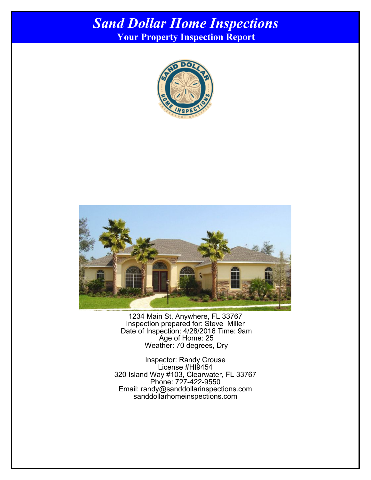## *Sand Dollar Home Inspections* **Your Property Inspection Report**

Cover Page





1234 Main St, Anywhere, FL 33767 Inspection prepared for: Steve Miller Date of Inspection: 4/28/2016 Time: 9am Age of Home: 25 Weather: 70 degrees, Dry

Inspector: Randy Crouse License #HI9454 320 Island Way #103, Clearwater, FL 33767 Phone: 727-422-9550 Email: randy@sanddollarinspections.com sanddollarhomeinspections.com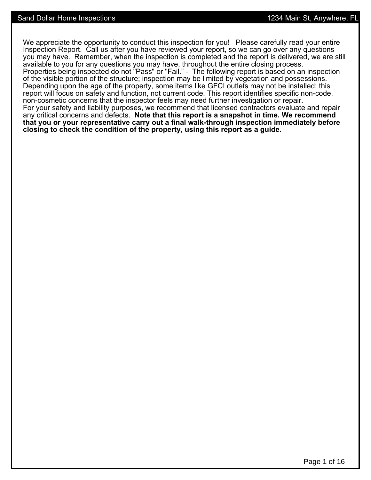We appreciate the opportunity to conduct this inspection for you! Please carefully read your entire Inspection Report. Call us after you have reviewed your report, so we can go over any questions you may have. Remember, when the inspection is completed and the report is delivered, we are still available to you for any questions you may have, throughout the entire closing process. Properties being inspected do not "Pass" or "Fail." - The following report is based on an inspection of the visible portion of the structure; inspection may be limited by vegetation and possessions. Depending upon the age of the property, some items like GFCI outlets may not be installed; this report will focus on safety and function, not current code. This report identifies specific non-code, non-cosmetic concerns that the inspector feels may need further investigation or repair. For your safety and liability purposes, we recommend that licensed contractors evaluate and repair any critical concerns and defects. **Note that this report is a snapshot in time. We recommend that you or your representative carry out a final walk-through inspection immediately before closing to check the condition of the property, using this report as a guide.**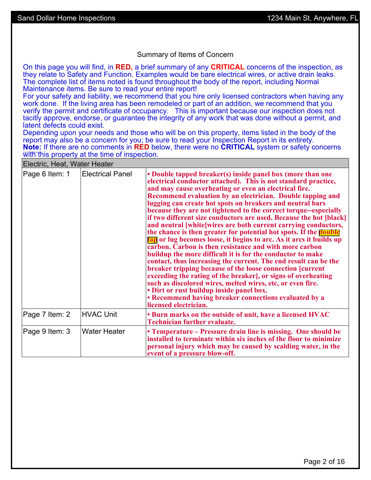#### Summary of Items of Concern

On this page you will find, in **RED,** a brief summary of any **CRITICAL** concerns of the inspection, as they relate to Safety and Function. Examples would be bare electrical wires, or active drain leaks. The complete list of items noted is found throughout the body of the report, including Normal Maintenance items. Be sure to read your entire report!

For your safety and liability, we recommend that you hire only licensed contractors when having any work done. If the living area has been remodeled or part of an addition, we recommend that you verify the permit and certificate of occupancy. This is important because our inspection does not tacitly approve, endorse, or guarantee the integrity of any work that was done without a permit, and latent defects could exist.

Depending upon your needs and those who will be on this property, items listed in the body of the report may also be a concern for you; be sure to read your Inspection Report in its entirety. **Note:** If there are no comments in **RED** below, there were no **CRITICAL** system or safety concerns with this property at the time of inspection.

| Electric, Heat, Water Heater |                         |                                                                                                                                                                                                                                                                                                                                                                                                                                                                                                                                                                                                                                                                                                                                                                                                                                                                                                                                                                                                                                                                                                                                                                                                      |
|------------------------------|-------------------------|------------------------------------------------------------------------------------------------------------------------------------------------------------------------------------------------------------------------------------------------------------------------------------------------------------------------------------------------------------------------------------------------------------------------------------------------------------------------------------------------------------------------------------------------------------------------------------------------------------------------------------------------------------------------------------------------------------------------------------------------------------------------------------------------------------------------------------------------------------------------------------------------------------------------------------------------------------------------------------------------------------------------------------------------------------------------------------------------------------------------------------------------------------------------------------------------------|
| Page 6 Item: 1               | <b>Electrical Panel</b> | • Double tapped breaker(s) inside panel box (more than one<br>electrical conductor attached). This is not standard practice,<br>and may cause overheating or even an electrical fire.<br>Recommend evaluation by an electrician. Double tapping and<br>lugging can create hot spots on breakers and neutral bars<br>because they are not tightened to the correct torque--especially<br>if two different size conductors are used. Because the hot [black]<br>and neutral [white]wires are both current carrying conductors,<br>the chance is then greater for potential hot spots. If the <b>double</b><br>tap or lug becomes loose, it begins to arc. As it arcs it builds up<br>carbon. Carbon is then resistance and with more carbon<br>buildup the more difficult it is for the conductor to make<br>contact, thus increasing the current. The end result can be the<br>breaker tripping because of the loose connection [current<br>exceeding the rating of the breaker], or signs of overheating<br>such as discolored wires, melted wires, etc, or even fire.<br>• Dirt or rust buildup inside panel box.<br>• Recommend having breaker connections evaluated by a<br>licensed electrician. |
| Page 7 Item: 2               | <b>HVAC Unit</b>        | • Burn marks on the outside of unit, have a licensed HVAC<br><b>Technician further evaluate.</b>                                                                                                                                                                                                                                                                                                                                                                                                                                                                                                                                                                                                                                                                                                                                                                                                                                                                                                                                                                                                                                                                                                     |
| Page 9 Item: 3               | <b>Water Heater</b>     | • Temperature – Pressure drain line is missing. One should be<br>installed to terminate within six inches of the floor to minimize<br>personal injury which may be caused by scalding water, in the<br>event of a pressure blow-off.                                                                                                                                                                                                                                                                                                                                                                                                                                                                                                                                                                                                                                                                                                                                                                                                                                                                                                                                                                 |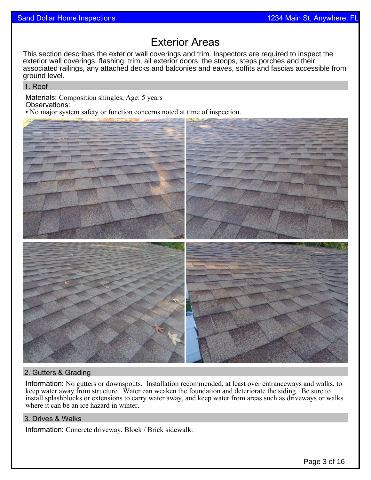## Exterior Areas

This section describes the exterior wall coverings and trim. Inspectors are required to inspect the exterior wall coverings, flashing, trim, all exterior doors, the stoops, steps porches and their associated railings, any attached decks and balconies and eaves, soffits and fascias accessible from ground level.

1. Roof

Materials: Composition shingles, Age: 5 years Observations:

• No major system safety or function concerns noted at time of inspection.



### 2. Gutters & Grading

Information: No gutters or downspouts. Installation recommended, at least over entranceways and walks, to keep water away from structure. Water can weaken the foundation and deteriorate the siding. Be sure to install splashblocks or extensions to carry water away, and keep water from areas such as driveways or walks where it can be an ice hazard in winter.

#### 3. Drives & Walks

Information: Concrete driveway, Block / Brick sidewalk.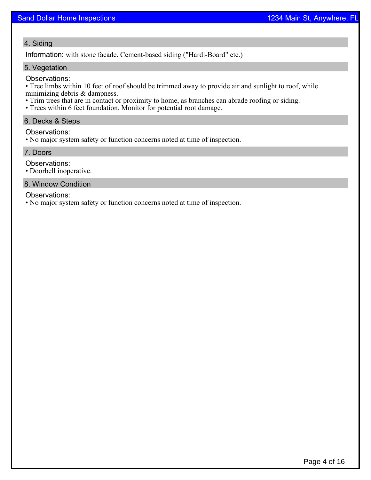#### 4. Siding

Information: with stone facade. Cement-based siding ("Hardi-Board" etc.)

#### 5. Vegetation

#### Observations:

• Tree limbs within 10 feet of roof should be trimmed away to provide air and sunlight to roof, while minimizing debris & dampness.

- Trim trees that are in contact or proximity to home, as branches can abrade roofing or siding.
- Trees within 6 feet foundation. Monitor for potential root damage.

#### 6. Decks & Steps

#### Observations:

• No major system safety or function concerns noted at time of inspection.

#### 7. Doors

Observations:

• Doorbell inoperative.

#### 8. Window Condition

Observations:

• No major system safety or function concerns noted at time of inspection.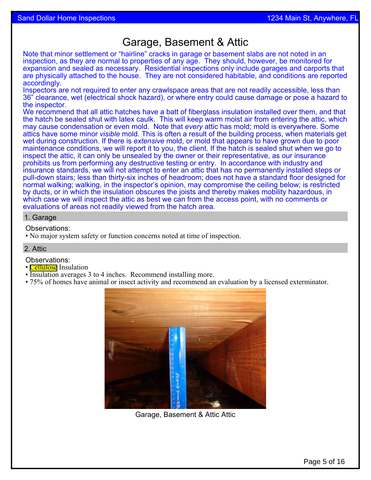## Garage, Basement & Attic

Note that minor settlement or "hairline" cracks in garage or basement slabs are not noted in an inspection, as they are normal to properties of any age. They should, however, be monitored for expansion and sealed as necessary. Residential inspections only include garages and carports that are physically attached to the house. They are not considered habitable, and conditions are reported accordingly.

Inspectors are not required to enter any crawlspace areas that are not readily accessible, less than 36" clearance, wet (electrical shock hazard), or where entry could cause damage or pose a hazard to the inspector.

We recommend that all attic hatches have a batt of fiberglass insulation installed over them, and that the hatch be sealed shut with latex caulk. This will keep warm moist air from entering the attic, which may cause condensation or even mold. Note that *every* attic has mold; mold is everywhere. Some attics have some minor *visible* mold. This is often a result of the building process, when materials get wet during construction. If there is *extensive* mold, or mold that appears to have grown due to poor maintenance conditions, we will report it to you, the client. If the hatch is sealed shut when we go to inspect the attic, it can only be unsealed by the owner or their representative, as our insurance prohibits us from performing any destructive testing or entry. In accordance with industry and insurance standards, we will not attempt to enter an attic that has no permanently installed steps or pull-down stairs; less than thirty-six inches of headroom; does not have a standard floor designed for normal walking; walking, in the inspector's opinion, may compromise the ceiling below; is restricted by ducts, or in which the insulation obscures the joists and thereby makes mobility hazardous, in which case we will inspect the attic as best we can from the access point, with no comments or evaluations of areas not readily viewed from the hatch area.

#### 1. Garage

Observations:

• No major system safety or function concerns noted at time of inspection.

#### 2. Attic

Observations:

- **Cellulose** Insulation
- Insulation averages 3 to 4 inches. Recommend installing more.
- 75% of homes have animal or insect activity and recommend an evaluation by a licensed exterminator.



Garage, Basement & Attic Attic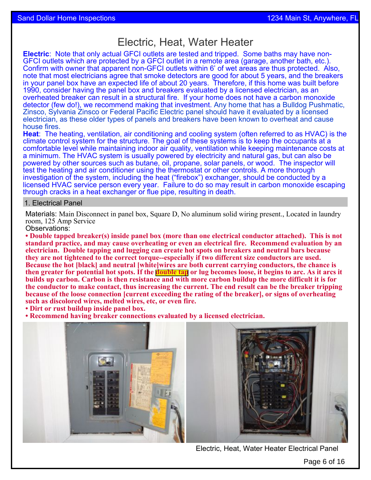## Electric, Heat, Water Heater

**Electric**: Note that only actual GFCI outlets are tested and tripped. Some baths may have non-GFCI outlets which are protected by a GFCI outlet in a remote area (garage, another bath, etc.). Confirm with owner that apparent non-GFCI outlets within 6' of wet areas are thus protected. Also, note that most electricians agree that smoke detectors are good for about 5 years, and the breakers in your panel box have an expected life of about 20 years. Therefore, if this home was built before 1990, consider having the panel box and breakers evaluated by a licensed electrician, as an overheated breaker can result in a structural fire. If your home does not have a carbon monoxide detector (few do!), we recommend making that investment. Any home that has a Bulldog Pushmatic, Zinsco, Sylvania Zinsco or Federal Pacific Electric panel should have it evaluated by a licensed electrician, as these older types of panels and breakers have been known to overheat and cause house fires.

**Heat**: The heating, ventilation, air conditioning and cooling system (often referred to as HVAC) is the climate control system for the structure. The goal of these systems is to keep the occupants at a comfortable level while maintaining indoor air quality, ventilation while keeping maintenance costs at a minimum. The HVAC system is usually powered by electricity and natural gas, but can also be powered by other sources such as butane, oil, propane, solar panels, or wood. The inspector will test the heating and air conditioner using the thermostat or other controls. A more thorough investigation of the system, including the heat ("firebox") exchanger, should be conducted by a licensed HVAC service person every year. Failure to do so may result in carbon monoxide escaping through cracks in a heat exchanger or flue pipe, resulting in death.

#### 1. Electrical Panel

Materials: Main Disconnect in panel box, Square D, No aluminum solid wiring present., Located in laundry room, 125 Amp Service

Observations:

**• Double tapped breaker(s) inside panel box (more than one electrical conductor attached). This is not standard practice, and may cause overheating or even an electrical fire. Recommend evaluation by an electrician. Double tapping and lugging can create hot spots on breakers and neutral bars because they are not tightened to the correct torque--especially if two different size conductors are used. Because the hot [black] and neutral [white]wires are both current carrying conductors, the chance is then greater for potential hot spots. If the double tap or lug becomes loose, it begins to arc. As it arcs it builds up carbon. Carbon is then resistance and with more carbon buildup the more difficult it is for the conductor to make contact, thus increasing the current. The end result can be the breaker tripping because of the loose connection [current exceeding the rating of the breaker], or signs of overheating such as discolored wires, melted wires, etc, or even fire.**

**• Dirt or rust buildup inside panel box.**

**• Recommend having breaker connections evaluated by a licensed electrician.**





Electric, Heat, Water Heater Electrical Panel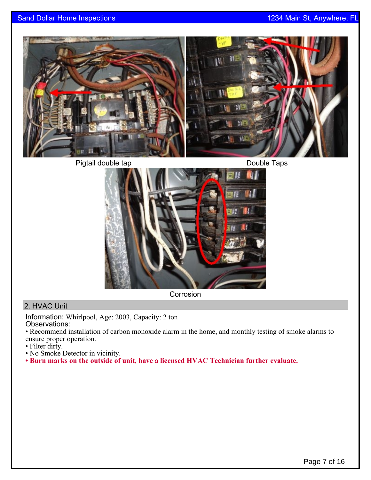

Pigtail double tap **Double Taps** Double Taps



**Corrosion** 

### 2. HVAC Unit

Information: Whirlpool, Age: 2003, Capacity: 2 ton Observations:

• Recommend installation of carbon monoxide alarm in the home, and monthly testing of smoke alarms to ensure proper operation.

- Filter dirty.
- No Smoke Detector in vicinity.
- **Burn marks on the outside of unit, have a licensed HVAC Technician further evaluate.**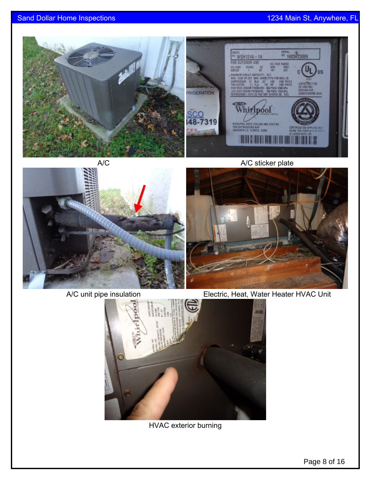





A/C unit pipe insulation Electric, Heat, Water Heater HVAC Unit



HVAC exterior burning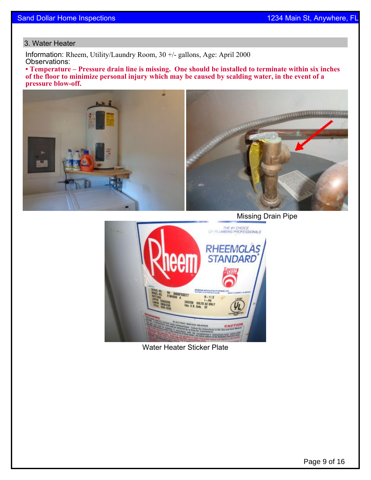#### 3. Water Heater

Information: Rheem, Utility/Laundry Room, 30 +/- gallons, Age: April 2000 Observations:

**• Temperature – Pressure drain line is missing. One should be installed to terminate within six inches of the floor to minimize personal injury which may be caused by scalding water, in the event of a pressure blow-off.**



THE #1 CHOICE<br>OF PLUMBING PROFESSIONALS RHEEMGLAS **STANDARD** RH DADDFO3377<br>Ethnology 377<br>245/208 VOLTS AC ONLY<br>Cap. U.S. Galk. 38

Water Heater Sticker Plate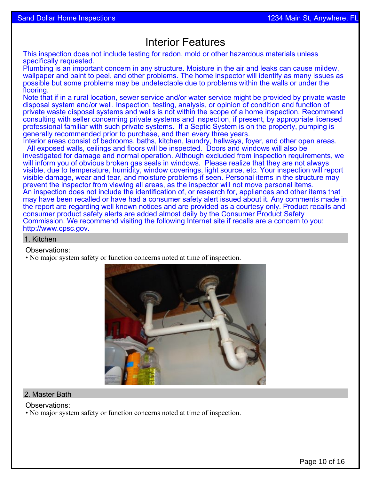## Interior Features

This inspection does not include testing for radon, mold or other hazardous materials unless specifically requested.

Plumbing is an important concern in any structure. Moisture in the air and leaks can cause mildew, wallpaper and paint to peel, and other problems. The home inspector will identify as many issues as possible but some problems may be undetectable due to problems within the walls or under the flooring.

Note that if in a rural location, sewer service and/or water service might be provided by private waste disposal system and/or well. Inspection, testing, analysis, or opinion of condition and function of private waste disposal systems and wells is not within the scope of a home inspection. Recommend consulting with seller concerning private systems and inspection, if present, by appropriate licensed professional familiar with such private systems. If a Septic System is on the property, pumping is generally recommended prior to purchase, and then every three years.

Interior areas consist of bedrooms, baths, kitchen, laundry, hallways, foyer, and other open areas. All exposed walls, ceilings and floors will be inspected. Doors and windows will also be investigated for damage and normal operation. Although excluded from inspection requirements, we will inform you of obvious broken gas seals in windows. Please realize that they are not always visible, due to temperature, humidity, window coverings, light source, etc. Your inspection will report visible damage, wear and tear, and moisture problems if seen. Personal items in the structure may prevent the inspector from viewing all areas, as the inspector will not move personal items. An inspection does not include the identification of, or research for, appliances and other items that may have been recalled or have had a consumer safety alert issued about it. Any comments made in the report are regarding well known notices and are provided as a courtesy only. Product recalls and consumer product safety alerts are added almost daily by the Consumer Product Safety Commission. We recommend visiting the following Internet site if recalls are a concern to you: http://[www.cpsc.gov.](http://www.cpsc.gov)

#### 1. Kitchen

Observations:

• No major system safety or function concerns noted at time of inspection.



#### 2. Master Bath

Observations:

• No major system safety or function concerns noted at time of inspection.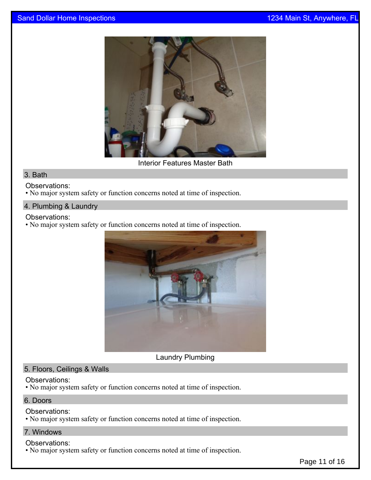

Interior Features Master Bath

#### 3. Bath

#### Observations:

• No major system safety or function concerns noted at time of inspection.

#### 4. Plumbing & Laundry

#### Observations:

• No major system safety or function concerns noted at time of inspection.



Laundry Plumbing

#### 5. Floors, Ceilings & Walls

#### Observations:

• No major system safety or function concerns noted at time of inspection.

#### 6. Doors

#### Observations:

• No major system safety or function concerns noted at time of inspection.

#### 7. Windows

#### Observations:

• No major system safety or function concerns noted at time of inspection.

Page 11 of 16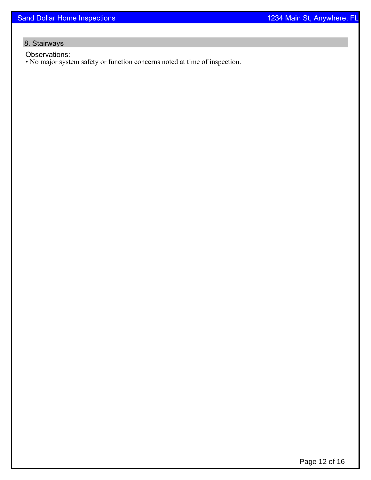## 8. Stairways

Observations:

• No major system safety or function concerns noted at time of inspection.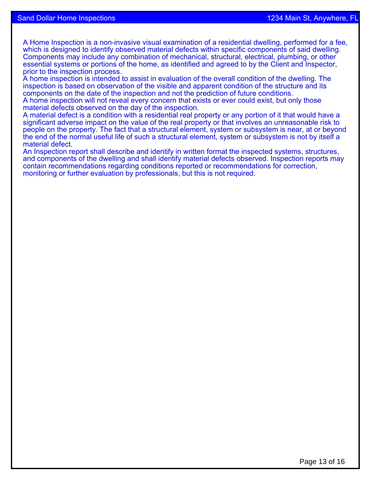A Home Inspection is a non-invasive visual examination of a residential dwelling, performed for a fee, which is designed to identify observed material defects within specific components of said dwelling. Components may include any combination of mechanical, structural, electrical, plumbing, or other essential systems or portions of the home, as identified and agreed to by the Client and Inspector, prior to the inspection process.

A home inspection is intended to assist in evaluation of the overall condition of the dwelling. The inspection is based on observation of the visible and apparent condition of the structure and its components on the date of the inspection and not the prediction of future conditions.

A home inspection will not reveal every concern that exists or ever could exist, but only those material defects observed on the day of the inspection.

A material defect is a condition with a residential real property or any portion of it that would have a significant adverse impact on the value of the real property or that involves an unreasonable risk to people on the property. The fact that a structural element, system or subsystem is near, at or beyond the end of the normal useful life of such a structural element, system or subsystem is not by itself a material defect.

An Inspection report shall describe and identify in written format the inspected systems, structures, and components of the dwelling and shall identify material defects observed. Inspection reports may contain recommendations regarding conditions reported or recommendations for correction, monitoring or further evaluation by professionals, but this is not required.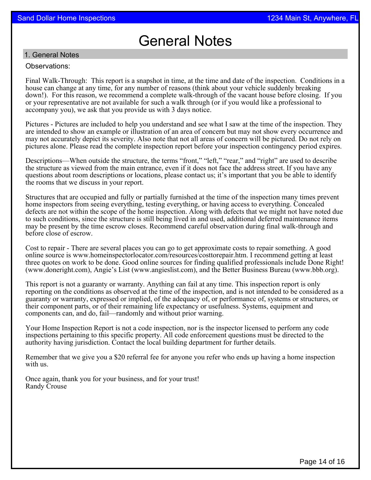# General Notes

#### 1. General Notes

#### Observations:

Final Walk-Through: This report is a snapshot in time, at the time and date of the inspection. Conditions in a house can change at any time, for any number of reasons (think about your vehicle suddenly breaking down!). For this reason, we recommend a complete walk-through of the vacant house before closing. If you or your representative are not available for such a walk through (or if you would like a professional to accompany you), we ask that you provide us with 3 days notice.

Pictures - Pictures are included to help you understand and see what I saw at the time of the inspection. They are intended to show an example or illustration of an area of concern but may not show every occurrence and may not accurately depict its severity. Also note that not all areas of concern will be pictured. Do not rely on pictures alone. Please read the complete inspection report before your inspection contingency period expires.

Descriptions—When outside the structure, the terms "front," "left," "rear," and "right" are used to describe the structure as viewed from the main entrance, even if it does not face the address street. If you have any questions about room descriptions or locations, please contact us; it's important that you be able to identify the rooms that we discuss in your report.

Structures that are occupied and fully or partially furnished at the time of the inspection many times prevent home inspectors from seeing everything, testing everything, or having access to everything. Concealed defects are not within the scope of the home inspection. Along with defects that we might not have noted due to such conditions, since the structure is still being lived in and used, additional deferred maintenance items may be present by the time escrow closes. Recommend careful observation during final walk-through and before close of escrow.

Cost to repair - There are several places you can go to get approximate costs to repair something. A good online source is www.homeinspectorlocator.com/resources/costtorepair.htm. I recommend getting at least three quotes on work to be done. Good online sources for finding qualified professionals include Done Right! (www.doneright.com), Angie's List (www.angieslist.com), and the Better Business Bureau (www.bbb.org).

This report is not a guaranty or warranty. Anything can fail at any time. This inspection report is only reporting on the conditions as observed at the time of the inspection, and is not intended to be considered as a guaranty or warranty, expressed or implied, of the adequacy of, or performance of, systems or structures, or their component parts, or of their remaining life expectancy or usefulness. Systems, equipment and components can, and do, fail—randomly and without prior warning.

Your Home Inspection Report is not a code inspection, nor is the inspector licensed to perform any code inspections pertaining to this specific property. All code enforcement questions must be directed to the authority having jurisdiction. Contact the local building department for further details.

Remember that we give you a \$20 referral fee for anyone you refer who ends up having a home inspection with us.

Once again, thank you for your business, and for your trust! Randy Crouse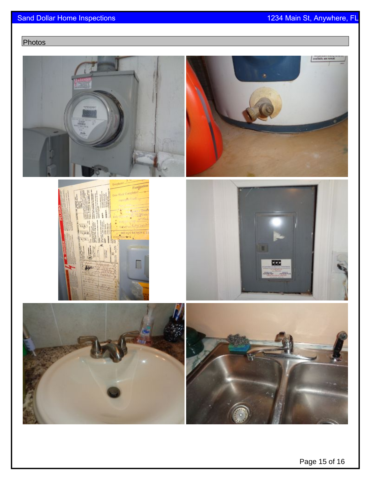## Photos